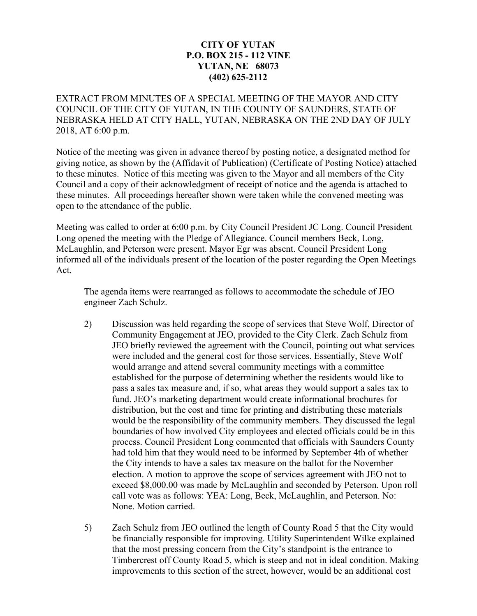## **CITY OF YUTAN P.O. BOX 215 - 112 VINE YUTAN, NE 68073 (402) 625-2112**

EXTRACT FROM MINUTES OF A SPECIAL MEETING OF THE MAYOR AND CITY COUNCIL OF THE CITY OF YUTAN, IN THE COUNTY OF SAUNDERS, STATE OF NEBRASKA HELD AT CITY HALL, YUTAN, NEBRASKA ON THE 2ND DAY OF JULY 2018, AT 6:00 p.m.

Notice of the meeting was given in advance thereof by posting notice, a designated method for giving notice, as shown by the (Affidavit of Publication) (Certificate of Posting Notice) attached to these minutes. Notice of this meeting was given to the Mayor and all members of the City Council and a copy of their acknowledgment of receipt of notice and the agenda is attached to these minutes. All proceedings hereafter shown were taken while the convened meeting was open to the attendance of the public.

Meeting was called to order at 6:00 p.m. by City Council President JC Long. Council President Long opened the meeting with the Pledge of Allegiance. Council members Beck, Long, McLaughlin, and Peterson were present. Mayor Egr was absent. Council President Long informed all of the individuals present of the location of the poster regarding the Open Meetings Act.

The agenda items were rearranged as follows to accommodate the schedule of JEO engineer Zach Schulz.

- 2) Discussion was held regarding the scope of services that Steve Wolf, Director of Community Engagement at JEO, provided to the City Clerk. Zach Schulz from JEO briefly reviewed the agreement with the Council, pointing out what services were included and the general cost for those services. Essentially, Steve Wolf would arrange and attend several community meetings with a committee established for the purpose of determining whether the residents would like to pass a sales tax measure and, if so, what areas they would support a sales tax to fund. JEO's marketing department would create informational brochures for distribution, but the cost and time for printing and distributing these materials would be the responsibility of the community members. They discussed the legal boundaries of how involved City employees and elected officials could be in this process. Council President Long commented that officials with Saunders County had told him that they would need to be informed by September 4th of whether the City intends to have a sales tax measure on the ballot for the November election. A motion to approve the scope of services agreement with JEO not to exceed \$8,000.00 was made by McLaughlin and seconded by Peterson. Upon roll call vote was as follows: YEA: Long, Beck, McLaughlin, and Peterson. No: None. Motion carried.
- 5) Zach Schulz from JEO outlined the length of County Road 5 that the City would be financially responsible for improving. Utility Superintendent Wilke explained that the most pressing concern from the City's standpoint is the entrance to Timbercrest off County Road 5, which is steep and not in ideal condition. Making improvements to this section of the street, however, would be an additional cost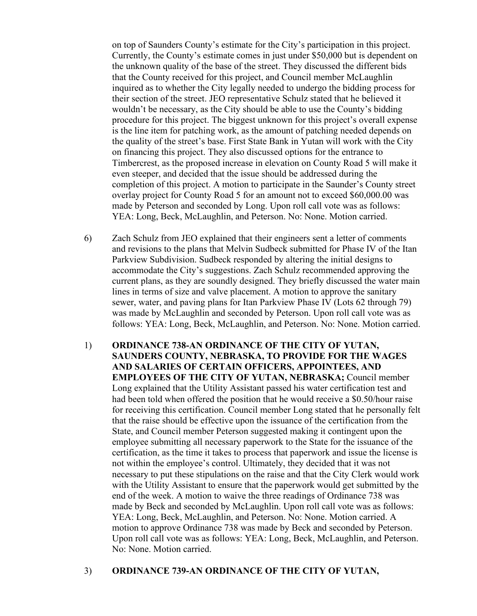on top of Saunders County's estimate for the City's participation in this project. Currently, the County's estimate comes in just under \$50,000 but is dependent on the unknown quality of the base of the street. They discussed the different bids that the County received for this project, and Council member McLaughlin inquired as to whether the City legally needed to undergo the bidding process for their section of the street. JEO representative Schulz stated that he believed it wouldn't be necessary, as the City should be able to use the County's bidding procedure for this project. The biggest unknown for this project's overall expense is the line item for patching work, as the amount of patching needed depends on the quality of the street's base. First State Bank in Yutan will work with the City on financing this project. They also discussed options for the entrance to Timbercrest, as the proposed increase in elevation on County Road 5 will make it even steeper, and decided that the issue should be addressed during the completion of this project. A motion to participate in the Saunder's County street overlay project for County Road 5 for an amount not to exceed \$60,000.00 was made by Peterson and seconded by Long. Upon roll call vote was as follows: YEA: Long, Beck, McLaughlin, and Peterson. No: None. Motion carried.

- 6) Zach Schulz from JEO explained that their engineers sent a letter of comments and revisions to the plans that Melvin Sudbeck submitted for Phase IV of the Itan Parkview Subdivision. Sudbeck responded by altering the initial designs to accommodate the City's suggestions. Zach Schulz recommended approving the current plans, as they are soundly designed. They briefly discussed the water main lines in terms of size and valve placement. A motion to approve the sanitary sewer, water, and paving plans for Itan Parkview Phase IV (Lots 62 through 79) was made by McLaughlin and seconded by Peterson. Upon roll call vote was as follows: YEA: Long, Beck, McLaughlin, and Peterson. No: None. Motion carried.
- 1) **ORDINANCE 738-AN ORDINANCE OF THE CITY OF YUTAN, SAUNDERS COUNTY, NEBRASKA, TO PROVIDE FOR THE WAGES AND SALARIES OF CERTAIN OFFICERS, APPOINTEES, AND EMPLOYEES OF THE CITY OF YUTAN, NEBRASKA;** Council member Long explained that the Utility Assistant passed his water certification test and had been told when offered the position that he would receive a \$0.50/hour raise for receiving this certification. Council member Long stated that he personally felt that the raise should be effective upon the issuance of the certification from the State, and Council member Peterson suggested making it contingent upon the employee submitting all necessary paperwork to the State for the issuance of the certification, as the time it takes to process that paperwork and issue the license is not within the employee's control. Ultimately, they decided that it was not necessary to put these stipulations on the raise and that the City Clerk would work with the Utility Assistant to ensure that the paperwork would get submitted by the end of the week. A motion to waive the three readings of Ordinance 738 was made by Beck and seconded by McLaughlin. Upon roll call vote was as follows: YEA: Long, Beck, McLaughlin, and Peterson. No: None. Motion carried. A motion to approve Ordinance 738 was made by Beck and seconded by Peterson. Upon roll call vote was as follows: YEA: Long, Beck, McLaughlin, and Peterson. No: None. Motion carried.

## 3) **ORDINANCE 739-AN ORDINANCE OF THE CITY OF YUTAN,**